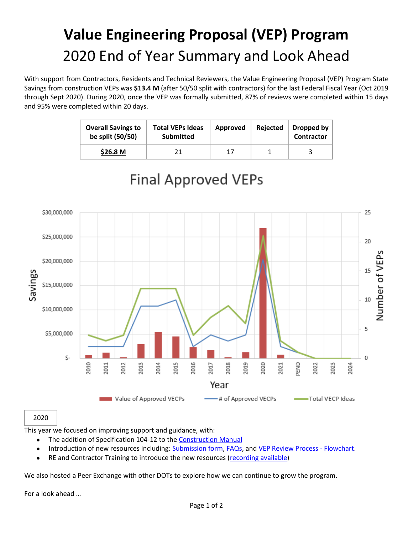# **Value Engineering Proposal (VEP) Program** 2020 End of Year Summary and Look Ahead

With support from Contractors, Residents and Technical Reviewers, the Value Engineering Proposal (VEP) Program State Savings from construction VEPs was **\$13.4 M** (after 50/50 split with contractors) for the last Federal Fiscal Year (Oct 2019 through Sept 2020). During 2020, once the VEP was formally submitted, 87% of reviews were completed within 15 days and 95% were completed within 20 days.

| <b>Overall Savings to</b><br>be split (50/50) | <b>Total VEPs Ideas</b><br>Submitted | Approved | Rejected | Dropped by<br><b>Contractor</b> |
|-----------------------------------------------|--------------------------------------|----------|----------|---------------------------------|
| \$26.8 <sub>M</sub>                           |                                      | 17       |          |                                 |



### **Final Approved VEPs**

#### 2020

This year we focused on improving support and guidance, with:

- The addition of Specification 104-12 to the [Construction Manual](https://connect.ncdot.gov/projects/construction/Pages/ConstMan.aspx?Method=CM-01-104#104-11%20FINAL%20CLEANING%20UP)
- Introduction of new resources including[: Submission form,](https://connect.ncdot.gov/projects/Value-Management/Value-Engineering-Proposals/Documents/Value%20Engineering%20Proposal%20(VEP)%20Submittal%20Form.pdf) [FAQs,](https://connect.ncdot.gov/projects/Value-Management/Value-Engineering-Proposals/Documents/VEP%20FAQs.pdf) and [VEP Review Process -](https://connect.ncdot.gov/projects/Value-Management/Value-Engineering-Proposals/Documents/VEP%20Review%20Process%20-%20Flowchart.pdf) Flowchart.
- RE and Contractor Training to introduce the new resources [\(recording available\)](https://web.microsoftstream.com/video/7d01e5fb-c1f0-42de-a8af-9456d9126a29?referrer=https:%2F%2Fconnect.ncdot.gov%2F)

We also hosted a Peer Exchange with other DOTs to explore how we can continue to grow the program.

For a look ahead …